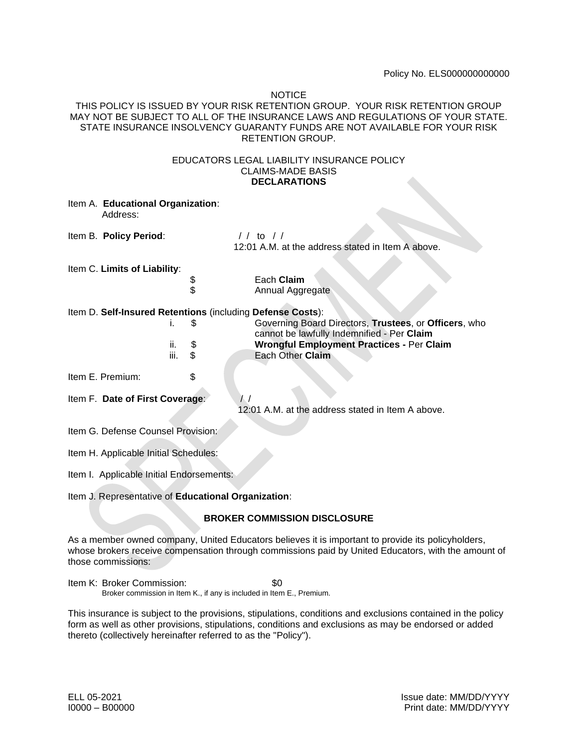#### **NOTICE**

THIS POLICY IS ISSUED BY YOUR RISK RETENTION GROUP. YOUR RISK RETENTION GROUP MAY NOT BE SUBJECT TO ALL OF THE INSURANCE LAWS AND REGULATIONS OF YOUR STATE. STATE INSURANCE INSOLVENCY GUARANTY FUNDS ARE NOT AVAILABLE FOR YOUR RISK RETENTION GROUP.

#### EDUCATORS LEGAL LIABILITY INSURANCE POLICY CLAIMS-MADE BASIS **DECLARATIONS**

|                                                                                                                                                                                                                                 | Item A. Educational Organization:<br>Address: |                         |                                                                      |
|---------------------------------------------------------------------------------------------------------------------------------------------------------------------------------------------------------------------------------|-----------------------------------------------|-------------------------|----------------------------------------------------------------------|
|                                                                                                                                                                                                                                 | Item B. Policy Period:                        |                         | $1/1$ to $1/1$<br>12:01 A.M. at the address stated in Item A above.  |
| Item C. Limits of Liability:                                                                                                                                                                                                    |                                               |                         |                                                                      |
|                                                                                                                                                                                                                                 |                                               | \$                      | Each Claim                                                           |
|                                                                                                                                                                                                                                 |                                               | \$                      | Annual Aggregate                                                     |
| Item D. Self-Insured Retentions (including Defense Costs):                                                                                                                                                                      |                                               |                         |                                                                      |
|                                                                                                                                                                                                                                 |                                               | S<br>İ.                 | Governing Board Directors, Trustees, or Officers, who                |
|                                                                                                                                                                                                                                 |                                               |                         | cannot be lawfully Indemnified - Per Claim                           |
|                                                                                                                                                                                                                                 |                                               | \$<br>ii.<br>iii.<br>\$ | <b>Wrongful Employment Practices - Per Claim</b><br>Each Other Claim |
|                                                                                                                                                                                                                                 |                                               |                         |                                                                      |
|                                                                                                                                                                                                                                 | Item E. Premium:                              | \$                      |                                                                      |
| Item F. Date of First Coverage:<br>$\frac{1}{2}$<br>12:01 A.M. at the address stated in Item A above.                                                                                                                           |                                               |                         |                                                                      |
|                                                                                                                                                                                                                                 |                                               |                         |                                                                      |
| Item G. Defense Counsel Provision:                                                                                                                                                                                              |                                               |                         |                                                                      |
| Item H. Applicable Initial Schedules:                                                                                                                                                                                           |                                               |                         |                                                                      |
| Item I. Applicable Initial Endorsements:                                                                                                                                                                                        |                                               |                         |                                                                      |
| Item J. Representative of Educational Organization:                                                                                                                                                                             |                                               |                         |                                                                      |
| <b>BROKER COMMISSION DISCLOSURE</b>                                                                                                                                                                                             |                                               |                         |                                                                      |
| As a member owned company, United Educators believes it is important to provide its policyholders,<br>whose brokers receive compensation through commissions paid by United Educators, with the amount of<br>those commissions: |                                               |                         |                                                                      |
| Item K: Broker Commission:<br>\$0<br>Broker commission in Item K., if any is included in Item E., Premium.                                                                                                                      |                                               |                         |                                                                      |

This insurance is subject to the provisions, stipulations, conditions and exclusions contained in the policy form as well as other provisions, stipulations, conditions and exclusions as may be endorsed or added thereto (collectively hereinafter referred to as the "Policy").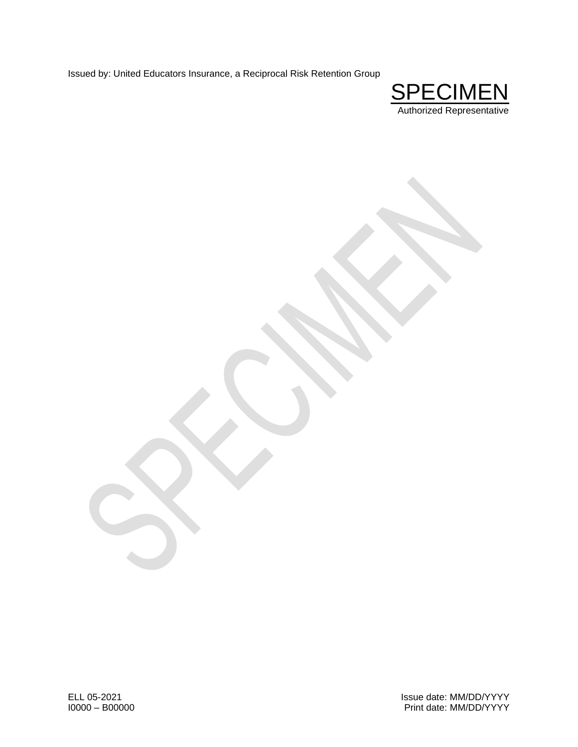Issued by: United Educators Insurance, a Reciprocal Risk Retention Group

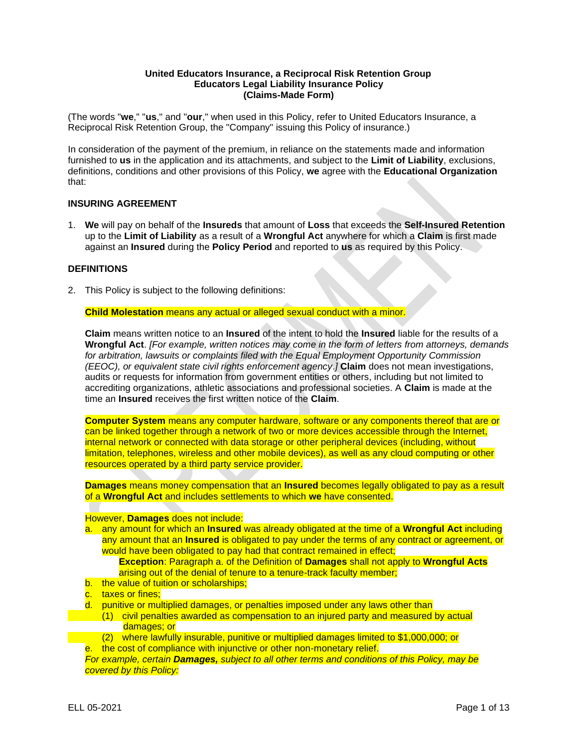#### **United Educators Insurance, a Reciprocal Risk Retention Group Educators Legal Liability Insurance Policy (Claims-Made Form)**

(The words "**we**," "**us**," and "**our**," when used in this Policy, refer to United Educators Insurance, a Reciprocal Risk Retention Group, the "Company" issuing this Policy of insurance.)

In consideration of the payment of the premium, in reliance on the statements made and information furnished to **us** in the application and its attachments, and subject to the **Limit of Liability**, exclusions, definitions, conditions and other provisions of this Policy, **we** agree with the **Educational Organization** that:

#### **INSURING AGREEMENT**

1. **We** will pay on behalf of the **Insureds** that amount of **Loss** that exceeds the **Self-Insured Retention** up to the **Limit of Liability** as a result of a **Wrongful Act** anywhere for which a **Claim** is first made against an **Insured** during the **Policy Period** and reported to **us** as required by this Policy.

#### **DEFINITIONS**

2. This Policy is subject to the following definitions:

**Child Molestation** means any actual or alleged sexual conduct with a minor.

**Claim** means written notice to an **Insured** of the intent to hold the **Insured** liable for the results of a **Wrongful Act**. *[For example, written notices may come in the form of letters from attorneys, demands for arbitration, lawsuits or complaints filed with the Equal Employment Opportunity Commission (EEOC), or equivalent state civil rights enforcement agency*.*]* **Claim** does not mean investigations, audits or requests for information from government entities or others, including but not limited to accrediting organizations, athletic associations and professional societies. A **Claim** is made at the time an **Insured** receives the first written notice of the **Claim**.

**Computer System** means any computer hardware, software or any components thereof that are or can be linked together through a network of two or more devices accessible through the Internet, internal network or connected with data storage or other peripheral devices (including, without limitation, telephones, wireless and other mobile devices), as well as any cloud computing or other resources operated by a third party service provider.

**Damages** means money compensation that an **Insured** becomes legally obligated to pay as a result of a **Wrongful Act** and includes settlements to which **we** have consented.

#### However, **Damages** does not include:

a. any amount for which an **Insured** was already obligated at the time of a **Wrongful Act** including any amount that an **Insured** is obligated to pay under the terms of any contract or agreement, or would have been obligated to pay had that contract remained in effect;

**Exception**: Paragraph a. of the Definition of **Damages** shall not apply to **Wrongful Acts** arising out of the denial of tenure to a tenure-track faculty member;

- b. the value of tuition or scholarships:
- c. taxes or fines:
- d. punitive or multiplied damages, or penalties imposed under any laws other than
- (1) civil penalties awarded as compensation to an injured party and measured by actual damages; or
	- (2) where lawfully insurable, punitive or multiplied damages limited to \$1,000,000; or
- e. the cost of compliance with injunctive or other non-monetary relief.

*For example, certain Damages, subject to all other terms and conditions of this Policy, may be covered by this Policy:*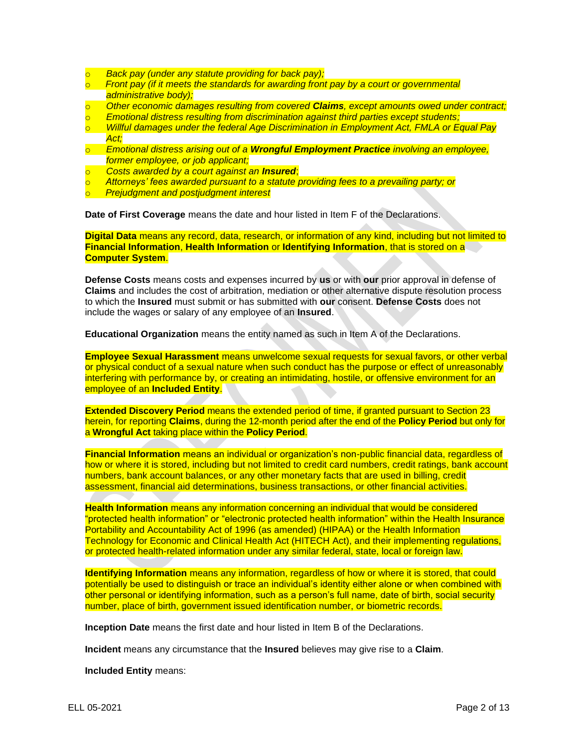- o *Back pay (under any statute providing for back pay);*
- o *Front pay (if it meets the standards for awarding front pay by a court or governmental administrative body);*
- o *Other economic damages resulting from covered Claims, except amounts owed under contract;*
- o *Emotional distress resulting from discrimination against third parties except students;*
- o *Willful damages under the federal Age Discrimination in Employment Act, FMLA or Equal Pay Act;*
- o *Emotional distress arising out of a Wrongful Employment Practice involving an employee, former employee, or job applicant;*
- o *Costs awarded by a court against an Insured*;
- o *Attorneys' fees awarded pursuant to a statute providing fees to a prevailing party; or*
- o *Prejudgment and postjudgment interest*

**Date of First Coverage** means the date and hour listed in Item F of the Declarations.

**Digital Data** means any record, data, research, or information of any kind, including but not limited to **Financial Information**, **Health Information** or **Identifying Information**, that is stored on a **Computer System**.

**Defense Costs** means costs and expenses incurred by **us** or with **our** prior approval in defense of **Claims** and includes the cost of arbitration, mediation or other alternative dispute resolution process to which the **Insured** must submit or has submitted with **our** consent. **Defense Costs** does not include the wages or salary of any employee of an **Insured**.

**Educational Organization** means the entity named as such in Item A of the Declarations.

**Employee Sexual Harassment** means unwelcome sexual requests for sexual favors, or other verbal or physical conduct of a sexual nature when such conduct has the purpose or effect of unreasonably interfering with performance by, or creating an intimidating, hostile, or offensive environment for an employee of an **Included Entity**.

**Extended Discovery Period** means the extended period of time, if granted pursuant to Section 23 herein, for reporting **Claims**, during the 12-month period after the end of the **Policy Period** but only for a **Wrongful Act** taking place within the **Policy Period**.

**Financial Information** means an individual or organization's non-public financial data, regardless of how or where it is stored, including but not limited to credit card numbers, credit ratings, bank account numbers, bank account balances, or any other monetary facts that are used in billing, credit assessment, financial aid determinations, business transactions, or other financial activities.

**Health Information** means any information concerning an individual that would be considered "protected health information" or "electronic protected health information" within the Health Insurance Portability and Accountability Act of 1996 (as amended) (HIPAA) or the Health Information Technology for Economic and Clinical Health Act (HITECH Act), and their implementing regulations, or protected health-related information under any similar federal, state, local or foreign law.

**Identifying Information** means any information, regardless of how or where it is stored, that could potentially be used to distinguish or trace an individual's identity either alone or when combined with other personal or identifying information, such as a person's full name, date of birth, social security number, place of birth, government issued identification number, or biometric records.

**Inception Date** means the first date and hour listed in Item B of the Declarations.

**Incident** means any circumstance that the **Insured** believes may give rise to a **Claim**.

**Included Entity** means: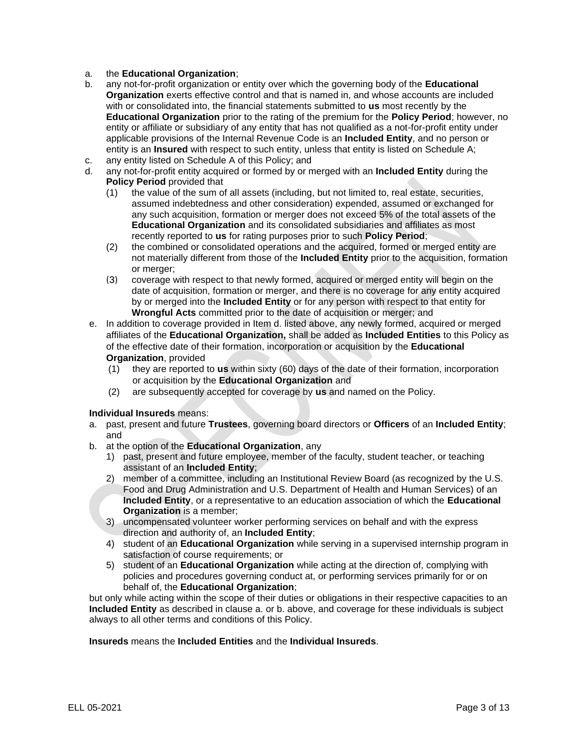- a. the **Educational Organization**;
- b. any not-for-profit organization or entity over which the governing body of the **Educational Organization** exerts effective control and that is named in, and whose accounts are included with or consolidated into, the financial statements submitted to **us** most recently by the **Educational Organization** prior to the rating of the premium for the **Policy Period**; however, no entity or affiliate or subsidiary of any entity that has not qualified as a not-for-profit entity under applicable provisions of the Internal Revenue Code is an **Included Entity**, and no person or entity is an **Insured** with respect to such entity, unless that entity is listed on Schedule A;
- c. any entity listed on Schedule A of this Policy; and
- d. any not-for-profit entity acquired or formed by or merged with an **Included Entity** during the **Policy Period** provided that
	- (1) the value of the sum of all assets (including, but not limited to, real estate, securities, assumed indebtedness and other consideration) expended, assumed or exchanged for any such acquisition, formation or merger does not exceed 5% of the total assets of the **Educational Organization** and its consolidated subsidiaries and affiliates as most recently reported to **us** for rating purposes prior to such **Policy Period**;
	- (2) the combined or consolidated operations and the acquired, formed or merged entity are not materially different from those of the **Included Entity** prior to the acquisition, formation or merger;
	- (3) coverage with respect to that newly formed, acquired or merged entity will begin on the date of acquisition, formation or merger, and there is no coverage for any entity acquired by or merged into the **Included Entity** or for any person with respect to that entity for **Wrongful Acts** committed prior to the date of acquisition or merger; and
- e. In addition to coverage provided in Item d. listed above, any newly formed, acquired or merged affiliates of the **Educational Organization,** shall be added as **Included Entities** to this Policy as of the effective date of their formation, incorporation or acquisition by the **Educational Organization**, provided
	- (1) they are reported to **us** within sixty (60) days of the date of their formation, incorporation or acquisition by the **Educational Organization** and
	- (2) are subsequently accepted for coverage by **us** and named on the Policy.

#### **Individual Insureds** means:

- a. past, present and future **Trustees**, governing board directors or **Officers** of an **Included Entity**; and
- b. at the option of the **Educational Organization**, any
	- 1) past, present and future employee, member of the faculty, student teacher, or teaching assistant of an **Included Entity**;
	- 2) member of a committee, including an Institutional Review Board (as recognized by the U.S. Food and Drug Administration and U.S. Department of Health and Human Services) of an **Included Entity**, or a representative to an education association of which the **Educational Organization** is a member;
	- 3) uncompensated volunteer worker performing services on behalf and with the express direction and authority of, an **Included Entity**;
	- 4) student of an **Educational Organization** while serving in a supervised internship program in satisfaction of course requirements; or
	- 5) student of an **Educational Organization** while acting at the direction of, complying with policies and procedures governing conduct at, or performing services primarily for or on behalf of, the **Educational Organization**;

but only while acting within the scope of their duties or obligations in their respective capacities to an **Included Entity** as described in clause a. or b. above, and coverage for these individuals is subject always to all other terms and conditions of this Policy.

**Insureds** means the **Included Entities** and the **Individual Insureds**.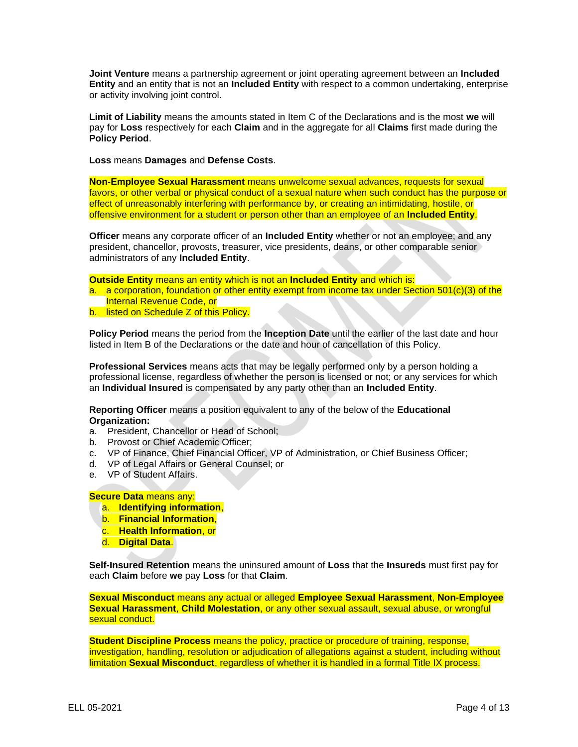**Joint Venture** means a partnership agreement or joint operating agreement between an **Included Entity** and an entity that is not an **Included Entity** with respect to a common undertaking, enterprise or activity involving joint control.

**Limit of Liability** means the amounts stated in Item C of the Declarations and is the most **we** will pay for **Loss** respectively for each **Claim** and in the aggregate for all **Claims** first made during the **Policy Period**.

**Loss** means **Damages** and **Defense Costs**.

**Non-Employee Sexual Harassment** means unwelcome sexual advances, requests for sexual favors, or other verbal or physical conduct of a sexual nature when such conduct has the purpose or effect of unreasonably interfering with performance by, or creating an intimidating, hostile, or offensive environment for a student or person other than an employee of an **Included Entity**.

**Officer** means any corporate officer of an **Included Entity** whether or not an employee; and any president, chancellor, provosts, treasurer, vice presidents, deans, or other comparable senior administrators of any **Included Entity**.

**Outside Entity** means an entity which is not an **Included Entity** and which is:

- a. a corporation, foundation or other entity exempt from income tax under Section 501(c)(3) of the Internal Revenue Code, or
- b. listed on Schedule Z of this Policy.

**Policy Period** means the period from the **Inception Date** until the earlier of the last date and hour listed in Item B of the Declarations or the date and hour of cancellation of this Policy.

**Professional Services** means acts that may be legally performed only by a person holding a professional license, regardless of whether the person is licensed or not; or any services for which an **Individual Insured** is compensated by any party other than an **Included Entity**.

**Reporting Officer** means a position equivalent to any of the below of the **Educational Organization:**

- a. President, Chancellor or Head of School;
- b. Provost or Chief Academic Officer;
- c. VP of Finance, Chief Financial Officer, VP of Administration, or Chief Business Officer;
- d. VP of Legal Affairs or General Counsel; or
- e. VP of Student Affairs.

#### **Secure Data** means any:

- a. **Identifying information**,
- b. **Financial Information**,
- c. **Health Information**, or
- d. **Digital Data**.

**Self-Insured Retention** means the uninsured amount of **Loss** that the **Insureds** must first pay for each **Claim** before **we** pay **Loss** for that **Claim**.

**Sexual Misconduct** means any actual or alleged **Employee Sexual Harassment**, **Non-Employee Sexual Harassment**, **Child Molestation**, or any other sexual assault, sexual abuse, or wrongful sexual conduct.

**Student Discipline Process** means the policy, practice or procedure of training, response, investigation, handling, resolution or adjudication of allegations against a student, including without limitation **Sexual Misconduct**, regardless of whether it is handled in a formal Title IX process.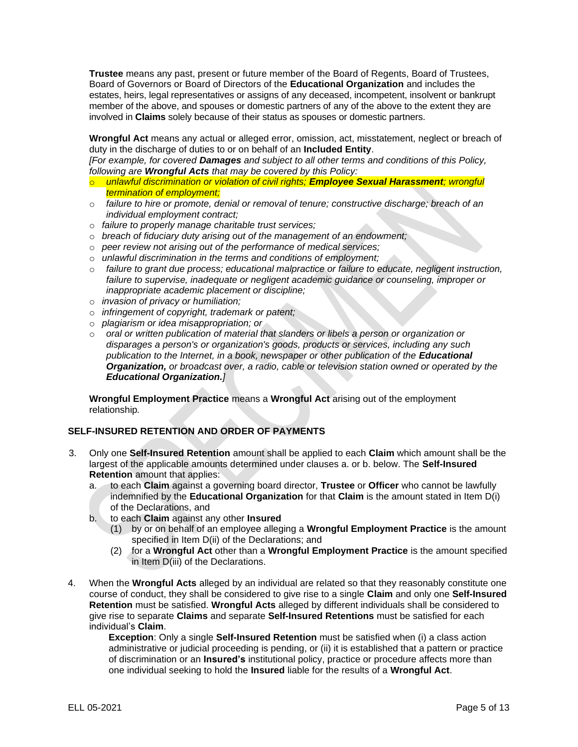**Trustee** means any past, present or future member of the Board of Regents, Board of Trustees, Board of Governors or Board of Directors of the **Educational Organization** and includes the estates, heirs, legal representatives or assigns of any deceased, incompetent, insolvent or bankrupt member of the above, and spouses or domestic partners of any of the above to the extent they are involved in **Claims** solely because of their status as spouses or domestic partners.

**Wrongful Act** means any actual or alleged error, omission, act, misstatement, neglect or breach of duty in the discharge of duties to or on behalf of an **Included Entity**.

*[For example, for covered Damages and subject to all other terms and conditions of this Policy, following are Wrongful Acts that may be covered by this Policy:* 

- o *unlawful discrimination or violation of civil rights; Employee Sexual Harassment; wrongful termination of employment;*
- o *failure to hire or promote, denial or removal of tenure; constructive discharge; breach of an individual employment contract;*
- o *failure to properly manage charitable trust services;*
- o *breach of fiduciary duty arising out of the management of an endowment;*
- o *peer review not arising out of the performance of medical services;*
- o *unlawful discrimination in the terms and conditions of employment;*
- o *failure to grant due process; educational malpractice or failure to educate, negligent instruction, failure to supervise, inadequate or negligent academic guidance or counseling, improper or inappropriate academic placement or discipline;*
- o *invasion of privacy or humiliation;*
- o *infringement of copyright, trademark or patent;*
- o *plagiarism or idea misappropriation; or*
- o *oral or written publication of material that slanders or libels a person or organization or disparages a person's or organization's goods, products or services, including any such*  publication to the Internet, in a book, newspaper or other publication of the **Educational** *Organization, or broadcast over, a radio, cable or television station owned or operated by the Educational Organization.]*

**Wrongful Employment Practice** means a **Wrongful Act** arising out of the employment relationship*.*

### **SELF-INSURED RETENTION AND ORDER OF PAYMENTS**

- 3. Only one **Self-Insured Retention** amount shall be applied to each **Claim** which amount shall be the largest of the applicable amounts determined under clauses a. or b. below. The **Self-Insured Retention** amount that applies:
	- a. to each **Claim** against a governing board director, **Trustee** or **Officer** who cannot be lawfully indemnified by the **Educational Organization** for that **Claim** is the amount stated in Item D(i) of the Declarations, and
	- b. to each **Claim** against any other **Insured**
		- (1) by or on behalf of an employee alleging a **Wrongful Employment Practice** is the amount specified in Item D(ii) of the Declarations; and
		- (2) for a **Wrongful Act** other than a **Wrongful Employment Practice** is the amount specified in Item D(iii) of the Declarations.
- 4. When the **Wrongful Acts** alleged by an individual are related so that they reasonably constitute one course of conduct, they shall be considered to give rise to a single **Claim** and only one **Self-Insured Retention** must be satisfied. **Wrongful Acts** alleged by different individuals shall be considered to give rise to separate **Claims** and separate **Self-Insured Retentions** must be satisfied for each individual's **Claim**.

**Exception**: Only a single **Self-Insured Retention** must be satisfied when (i) a class action administrative or judicial proceeding is pending, or (ii) it is established that a pattern or practice of discrimination or an **Insured's** institutional policy, practice or procedure affects more than one individual seeking to hold the **Insured** liable for the results of a **Wrongful Act**.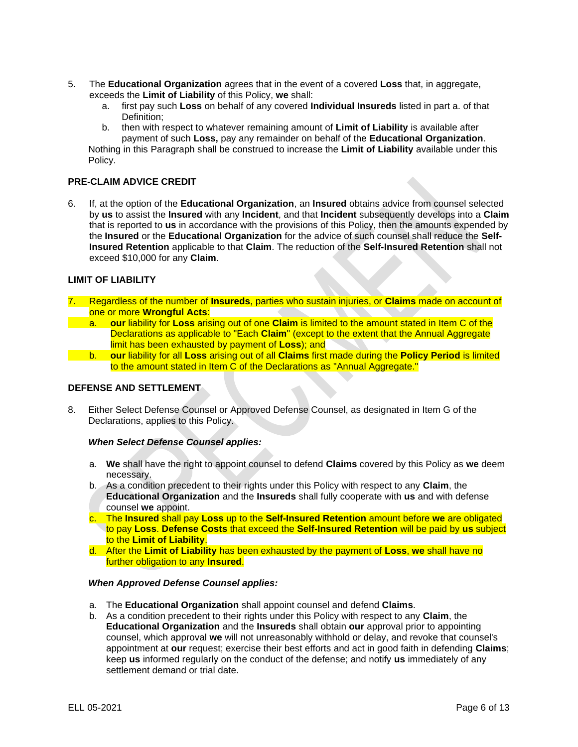- 5. The **Educational Organization** agrees that in the event of a covered **Loss** that, in aggregate, exceeds the **Limit of Liability** of this Policy, **we** shall:
	- a. first pay such **Loss** on behalf of any covered **Individual Insureds** listed in part a. of that Definition:
	- b. then with respect to whatever remaining amount of **Limit of Liability** is available after payment of such **Loss,** pay any remainder on behalf of the **Educational Organization**.

Nothing in this Paragraph shall be construed to increase the **Limit of Liability** available under this Policy.

## **PRE-CLAIM ADVICE CREDIT**

6. If, at the option of the **Educational Organization**, an **Insured** obtains advice from counsel selected by **us** to assist the **Insured** with any **Incident**, and that **Incident** subsequently develops into a **Claim** that is reported to **us** in accordance with the provisions of this Policy, then the amounts expended by the **Insured** or the **Educational Organization** for the advice of such counsel shall reduce the **Self-Insured Retention** applicable to that **Claim**. The reduction of the **Self-Insured Retention** shall not exceed \$10,000 for any **Claim**.

### **LIMIT OF LIABILITY**

- 7. Regardless of the number of **Insureds**, parties who sustain injuries, or **Claims** made on account of one or more **Wrongful Acts**:
	- a. **our** liability for **Loss** arising out of one **Claim** is limited to the amount stated in Item C of the Declarations as applicable to "Each **Claim**" (except to the extent that the Annual Aggregate limit has been exhausted by payment of **Loss**); and
- b. **our** liability for all **Loss** arising out of all **Claims** first made during the **Policy Period** is limited to the amount stated in Item C of the Declarations as "Annual Aggregate."

#### **DEFENSE AND SETTLEMENT**

8. Either Select Defense Counsel or Approved Defense Counsel, as designated in Item G of the Declarations, applies to this Policy.

#### *When Select Defense Counsel applies:*

- a. **We** shall have the right to appoint counsel to defend **Claims** covered by this Policy as **we** deem necessary.
- b. As a condition precedent to their rights under this Policy with respect to any **Claim**, the **Educational Organization** and the **Insureds** shall fully cooperate with **us** and with defense counsel **we** appoint.
- c. The **Insured** shall pay **Loss** up to the **Self-Insured Retention** amount before **we** are obligated to pay **Loss**. **Defense Costs** that exceed the **Self-Insured Retention** will be paid by **us** subject to the **Limit of Liability**.
- d. After the **Limit of Liability** has been exhausted by the payment of **Loss**, **we** shall have no further obligation to any **Insured**.

#### *When Approved Defense Counsel applies:*

- a. The **Educational Organization** shall appoint counsel and defend **Claims**.
- b. As a condition precedent to their rights under this Policy with respect to any **Claim**, the **Educational Organization** and the **Insureds** shall obtain **our** approval prior to appointing counsel, which approval **we** will not unreasonably withhold or delay, and revoke that counsel's appointment at **our** request; exercise their best efforts and act in good faith in defending **Claims**; keep **us** informed regularly on the conduct of the defense; and notify **us** immediately of any settlement demand or trial date.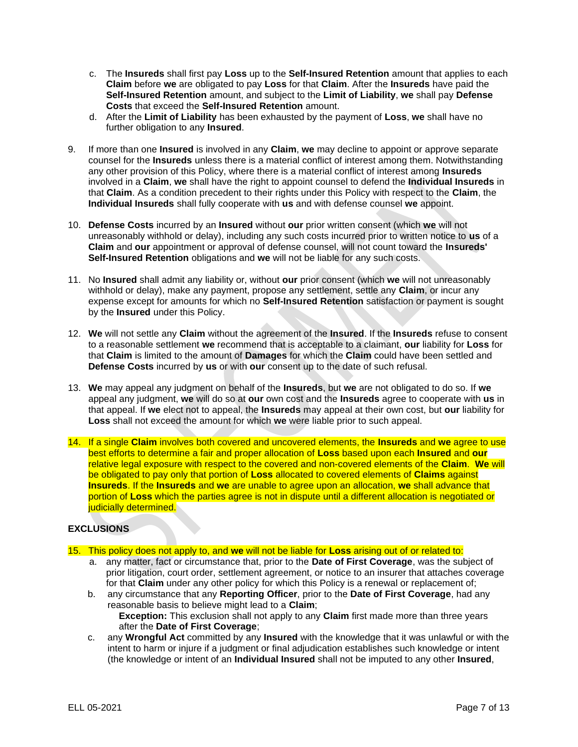- c. The **Insureds** shall first pay **Loss** up to the **Self-Insured Retention** amount that applies to each **Claim** before **we** are obligated to pay **Loss** for that **Claim**. After the **Insureds** have paid the **Self-Insured Retention** amount, and subject to the **Limit of Liability**, **we** shall pay **Defense Costs** that exceed the **Self-Insured Retention** amount.
- d. After the **Limit of Liability** has been exhausted by the payment of **Loss**, **we** shall have no further obligation to any **Insured**.
- 9. If more than one **Insured** is involved in any **Claim**, **we** may decline to appoint or approve separate counsel for the **Insureds** unless there is a material conflict of interest among them. Notwithstanding any other provision of this Policy, where there is a material conflict of interest among **Insureds** involved in a **Claim**, **we** shall have the right to appoint counsel to defend the **Individual Insureds** in that **Claim**. As a condition precedent to their rights under this Policy with respect to the **Claim**, the **Individual Insureds** shall fully cooperate with **us** and with defense counsel **we** appoint.
- 10. **Defense Costs** incurred by an **Insured** without **our** prior written consent (which **we** will not unreasonably withhold or delay), including any such costs incurred prior to written notice to **us** of a **Claim** and **our** appointment or approval of defense counsel, will not count toward the **Insureds' Self-Insured Retention** obligations and **we** will not be liable for any such costs.
- 11. No **Insured** shall admit any liability or, without **our** prior consent (which **we** will not unreasonably withhold or delay), make any payment, propose any settlement, settle any **Claim**, or incur any expense except for amounts for which no **Self-Insured Retention** satisfaction or payment is sought by the **Insured** under this Policy.
- 12. **We** will not settle any **Claim** without the agreement of the **Insured**. If the **Insureds** refuse to consent to a reasonable settlement **we** recommend that is acceptable to a claimant, **our** liability for **Loss** for that **Claim** is limited to the amount of **Damages** for which the **Claim** could have been settled and **Defense Costs** incurred by **us** or with **our** consent up to the date of such refusal.
- 13. **We** may appeal any judgment on behalf of the **Insureds**, but **we** are not obligated to do so. If **we** appeal any judgment, **we** will do so at **our** own cost and the **Insureds** agree to cooperate with **us** in that appeal. If **we** elect not to appeal, the **Insureds** may appeal at their own cost, but **our** liability for **Loss** shall not exceed the amount for which **we** were liable prior to such appeal.
- 14. If a single **Claim** involves both covered and uncovered elements, the **Insureds** and **we** agree to use best efforts to determine a fair and proper allocation of **Loss** based upon each **Insured** and **our**  relative legal exposure with respect to the covered and non-covered elements of the **Claim**. **We** will be obligated to pay only that portion of **Loss** allocated to covered elements of **Claims** against **Insureds**. If the **Insureds** and **we** are unable to agree upon an allocation, **we** shall advance that portion of **Loss** which the parties agree is not in dispute until a different allocation is negotiated or iudicially determined.

# **EXCLUSIONS**

- 15. This policy does not apply to, and **we** will not be liable for **Loss** arising out of or related to:
	- a. any matter, fact or circumstance that, prior to the **Date of First Coverage**, was the subject of prior litigation, court order, settlement agreement, or notice to an insurer that attaches coverage for that **Claim** under any other policy for which this Policy is a renewal or replacement of;
	- b. any circumstance that any **Reporting Officer**, prior to the **Date of First Coverage**, had any reasonable basis to believe might lead to a **Claim**; **Exception:** This exclusion shall not apply to any **Claim** first made more than three years
	- after the **Date of First Coverage**; c. any **Wrongful Act** committed by any **Insured** with the knowledge that it was unlawful or with the intent to harm or injure if a judgment or final adjudication establishes such knowledge or intent (the knowledge or intent of an **Individual Insured** shall not be imputed to any other **Insured**,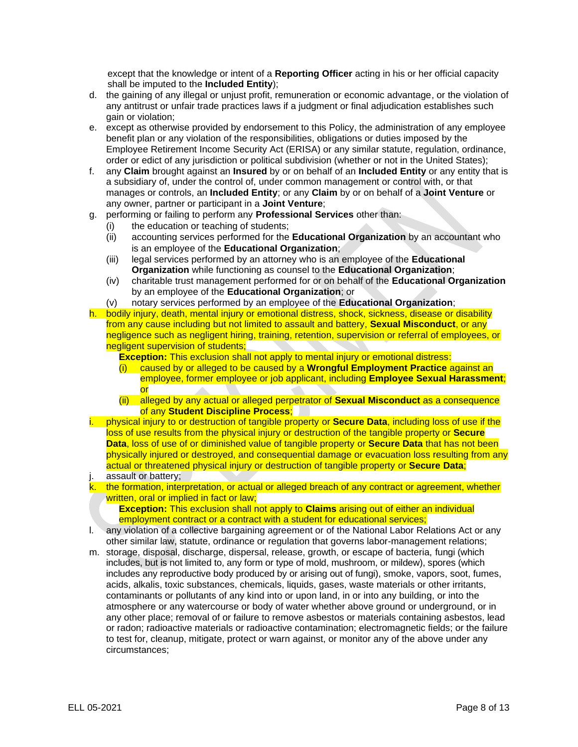except that the knowledge or intent of a **Reporting Officer** acting in his or her official capacity shall be imputed to the **Included Entity**);

- d. the gaining of any illegal or unjust profit, remuneration or economic advantage, or the violation of any antitrust or unfair trade practices laws if a judgment or final adjudication establishes such gain or violation;
- e. except as otherwise provided by endorsement to this Policy, the administration of any employee benefit plan or any violation of the responsibilities, obligations or duties imposed by the Employee Retirement Income Security Act (ERISA) or any similar statute, regulation, ordinance, order or edict of any jurisdiction or political subdivision (whether or not in the United States);
- f. any **Claim** brought against an **Insured** by or on behalf of an **Included Entity** or any entity that is a subsidiary of, under the control of, under common management or control with, or that manages or controls, an **Included Entity**; or any **Claim** by or on behalf of a **Joint Venture** or any owner, partner or participant in a **Joint Venture**;
- g. performing or failing to perform any **Professional Services** other than:
	- (i) the education or teaching of students;
	- (ii) accounting services performed for the **Educational Organization** by an accountant who is an employee of the **Educational Organization**;
	- (iii) legal services performed by an attorney who is an employee of the **Educational Organization** while functioning as counsel to the **Educational Organization**;
	- (iv) charitable trust management performed for or on behalf of the **Educational Organization** by an employee of the **Educational Organization**; or
	- (v) notary services performed by an employee of the **Educational Organization**;

h. bodily injury, death, mental injury or emotional distress, shock, sickness, disease or disability from any cause including but not limited to assault and battery, **Sexual Misconduct**, or any negligence such as negligent hiring, training, retention, supervision or referral of employees, or negligent supervision of students;

**Exception:** This exclusion shall not apply to mental injury or emotional distress:

- (i) caused by or alleged to be caused by a **Wrongful Employment Practice** against an employee, former employee or job applicant, including **Employee Sexual Harassment**; or
- (ii) alleged by any actual or alleged perpetrator of **Sexual Misconduct** as a consequence of any **Student Discipline Process**;
- i. physical injury to or destruction of tangible property or **Secure Data**, including loss of use if the loss of use results from the physical injury or destruction of the tangible property or **Secure Data**, loss of use of or diminished value of tangible property or **Secure Data** that has not been physically injured or destroyed, and consequential damage or evacuation loss resulting from any actual or threatened physical injury or destruction of tangible property or **Secure Data**;
- j. assault or battery;

k. the formation, interpretation, or actual or alleged breach of any contract or agreement, whether written, oral or implied in fact or law;

**Exception:** This exclusion shall not apply to **Claims** arising out of either an individual employment contract or a contract with a student for educational services;

- l. any violation of a collective bargaining agreement or of the National Labor Relations Act or any other similar law, statute, ordinance or regulation that governs labor-management relations;
- m. storage, disposal, discharge, dispersal, release, growth, or escape of bacteria, fungi (which includes, but is not limited to, any form or type of mold, mushroom, or mildew), spores (which includes any reproductive body produced by or arising out of fungi), smoke, vapors, soot, fumes, acids, alkalis, toxic substances, chemicals, liquids, gases, waste materials or other irritants, contaminants or pollutants of any kind into or upon land, in or into any building, or into the atmosphere or any watercourse or body of water whether above ground or underground, or in any other place; removal of or failure to remove asbestos or materials containing asbestos, lead or radon; radioactive materials or radioactive contamination; electromagnetic fields; or the failure to test for, cleanup, mitigate, protect or warn against, or monitor any of the above under any circumstances;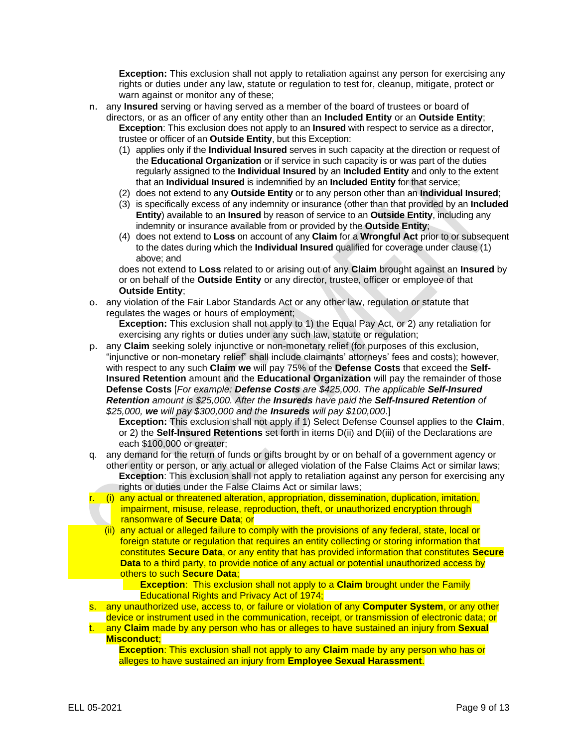**Exception:** This exclusion shall not apply to retaliation against any person for exercising any rights or duties under any law, statute or regulation to test for, cleanup, mitigate, protect or warn against or monitor any of these;

- n. any **Insured** serving or having served as a member of the board of trustees or board of directors, or as an officer of any entity other than an **Included Entity** or an **Outside Entity**; **Exception**: This exclusion does not apply to an **Insured** with respect to service as a director, trustee or officer of an **Outside Entity**, but this Exception:
	- (1) applies only if the **Individual Insured** serves in such capacity at the direction or request of the **Educational Organization** or if service in such capacity is or was part of the duties regularly assigned to the **Individual Insured** by an **Included Entity** and only to the extent that an **Individual Insured** is indemnified by an **Included Entity** for that service;
	- (2) does not extend to any **Outside Entity** or to any person other than an **Individual Insured**;
	- (3) is specifically excess of any indemnity or insurance (other than that provided by an **Included Entity**) available to an **Insured** by reason of service to an **Outside Entity**, including any indemnity or insurance available from or provided by the **Outside Entity**;
	- (4) does not extend to **Loss** on account of any **Claim** for a **Wrongful Act** prior to or subsequent to the dates during which the **Individual Insured** qualified for coverage under clause (1) above; and

does not extend to **Loss** related to or arising out of any **Claim** brought against an **Insured** by or on behalf of the **Outside Entity** or any director, trustee, officer or employee of that **Outside Entity**;

o. any violation of the Fair Labor Standards Act or any other law, regulation or statute that regulates the wages or hours of employment;

**Exception:** This exclusion shall not apply to 1) the Equal Pay Act, or 2) any retaliation for exercising any rights or duties under any such law, statute or regulation;

p. any **Claim** seeking solely injunctive or non-monetary relief (for purposes of this exclusion, "injunctive or non-monetary relief" shall include claimants' attorneys' fees and costs); however, with respect to any such **Claim we** will pay 75% of the **Defense Costs** that exceed the **Self-Insured Retention** amount and the **Educational Organization** will pay the remainder of those **Defense Costs** [*For example: Defense Costs are \$425,000. The applicable Self-Insured Retention amount is \$25,000. After the Insureds have paid the Self-Insured Retention of \$25,000, we will pay \$300,000 and the Insureds will pay \$100,000*.]

**Exception:** This exclusion shall not apply if 1) Select Defense Counsel applies to the **Claim**, or 2) the **Self-Insured Retentions** set forth in items D(ii) and D(iii) of the Declarations are each \$100,000 or greater:

- q. any demand for the return of funds or gifts brought by or on behalf of a government agency or other entity or person, or any actual or alleged violation of the False Claims Act or similar laws; **Exception**: This exclusion shall not apply to retaliation against any person for exercising any rights or duties under the False Claims Act or similar laws;
- r. (i) any actual or threatened alteration, appropriation, dissemination, duplication, imitation, impairment, misuse, release, reproduction, theft, or unauthorized encryption through ransomware of **Secure Data**; or
	- (ii) any actual or alleged failure to comply with the provisions of any federal, state, local or foreign statute or regulation that requires an entity collecting or storing information that constitutes **Secure Data**, or any entity that has provided information that constitutes **Secure Data** to a third party, to provide notice of any actual or potential unauthorized access by others to such **Secure Data**;

**Exception**: This exclusion shall not apply to a **Claim** brought under the Family Educational Rights and Privacy Act of 1974;

s. any unauthorized use, access to, or failure or violation of any **Computer System**, or any other device or instrument used in the communication, receipt, or transmission of electronic data; or

t. any **Claim** made by any person who has or alleges to have sustained an injury from **Sexual Misconduct**;

**Exception**: This exclusion shall not apply to any **Claim** made by any person who has or alleges to have sustained an injury from **Employee Sexual Harassment**.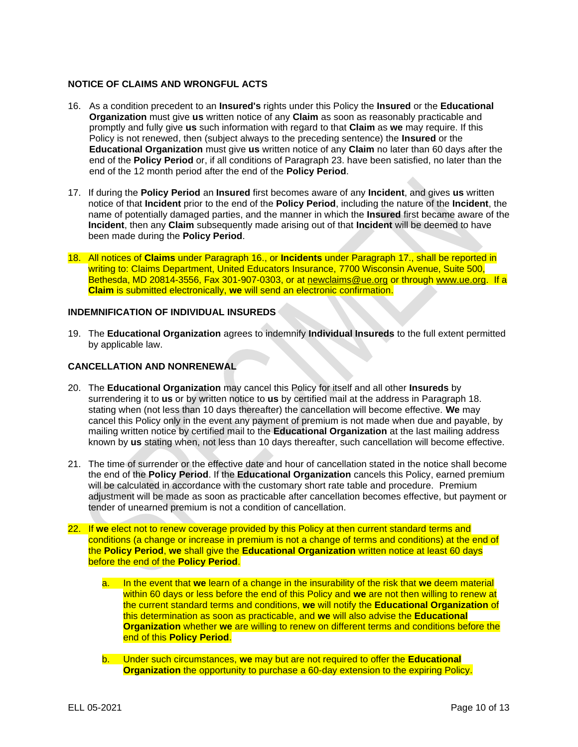### **NOTICE OF CLAIMS AND WRONGFUL ACTS**

- 16. As a condition precedent to an **Insured's** rights under this Policy the **Insured** or the **Educational Organization** must give **us** written notice of any **Claim** as soon as reasonably practicable and promptly and fully give **us** such information with regard to that **Claim** as **we** may require. If this Policy is not renewed, then (subject always to the preceding sentence) the **Insured** or the **Educational Organization** must give **us** written notice of any **Claim** no later than 60 days after the end of the **Policy Period** or, if all conditions of Paragraph 23. have been satisfied, no later than the end of the 12 month period after the end of the **Policy Period**.
- 17. If during the **Policy Period** an **Insured** first becomes aware of any **Incident**, and gives **us** written notice of that **Incident** prior to the end of the **Policy Period**, including the nature of the **Incident**, the name of potentially damaged parties, and the manner in which the **Insured** first became aware of the **Incident**, then any **Claim** subsequently made arising out of that **Incident** will be deemed to have been made during the **Policy Period**.
- 18. All notices of **Claims** under Paragraph 16., or **Incidents** under Paragraph 17., shall be reported in writing to: Claims Department, United Educators Insurance, 7700 Wisconsin Avenue, Suite 500, Bethesda, MD 20814-3556, Fax 301-907-0303, or at [newclaims@ue.org](mailto:claims@ue.org) or through www.ue.org. If a **Claim** is submitted electronically, **we** will send an electronic confirmation.

### **INDEMNIFICATION OF INDIVIDUAL INSUREDS**

19. The **Educational Organization** agrees to indemnify **Individual Insureds** to the full extent permitted by applicable law.

#### **CANCELLATION AND NONRENEWAL**

- 20. The **Educational Organization** may cancel this Policy for itself and all other **Insureds** by surrendering it to **us** or by written notice to **us** by certified mail at the address in Paragraph 18. stating when (not less than 10 days thereafter) the cancellation will become effective. **We** may cancel this Policy only in the event any payment of premium is not made when due and payable, by mailing written notice by certified mail to the **Educational Organization** at the last mailing address known by **us** stating when, not less than 10 days thereafter, such cancellation will become effective.
- 21. The time of surrender or the effective date and hour of cancellation stated in the notice shall become the end of the **Policy Period**. If the **Educational Organization** cancels this Policy, earned premium will be calculated in accordance with the customary short rate table and procedure. Premium adjustment will be made as soon as practicable after cancellation becomes effective, but payment or tender of unearned premium is not a condition of cancellation.
- 22. If **we** elect not to renew coverage provided by this Policy at then current standard terms and conditions (a change or increase in premium is not a change of terms and conditions) at the end of the **Policy Period**, **we** shall give the **Educational Organization** written notice at least 60 days before the end of the **Policy Period**.
	- a. In the event that **we** learn of a change in the insurability of the risk that **we** deem material within 60 days or less before the end of this Policy and **we** are not then willing to renew at the current standard terms and conditions, **we** will notify the **Educational Organization** of this determination as soon as practicable, and **we** will also advise the **Educational Organization** whether **we** are willing to renew on different terms and conditions before the end of this **Policy Period**.
	- b. Under such circumstances, **we** may but are not required to offer the **Educational Organization** the opportunity to purchase a 60-day extension to the expiring Policy.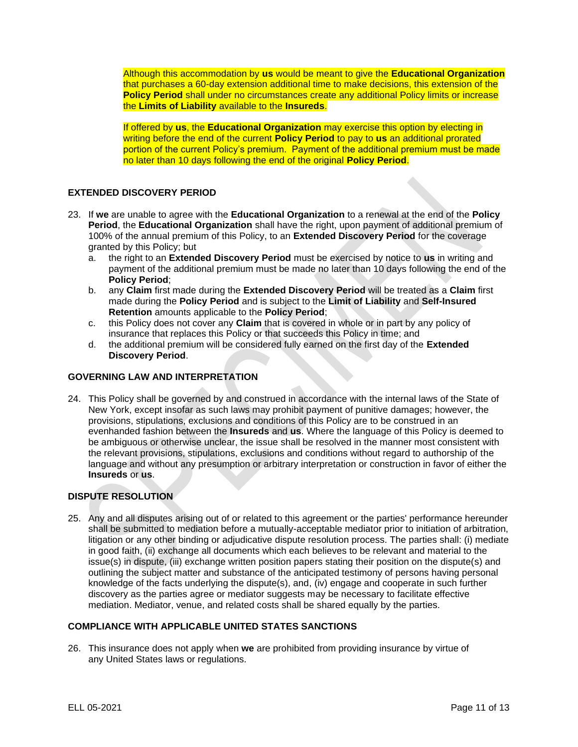Although this accommodation by **us** would be meant to give the **Educational Organization** that purchases a 60-day extension additional time to make decisions, this extension of the **Policy Period** shall under no circumstances create any additional Policy limits or increase the **Limits of Liability** available to the **Insureds**.

If offered by **us**, the **Educational Organization** may exercise this option by electing in writing before the end of the current **Policy Period** to pay to **us** an additional prorated portion of the current Policy's premium. Payment of the additional premium must be made no later than 10 days following the end of the original **Policy Period**.

# **EXTENDED DISCOVERY PERIOD**

- 23. If **we** are unable to agree with the **Educational Organization** to a renewal at the end of the **Policy Period**, the **Educational Organization** shall have the right, upon payment of additional premium of 100% of the annual premium of this Policy, to an **Extended Discovery Period** for the coverage granted by this Policy; but
	- a. the right to an **Extended Discovery Period** must be exercised by notice to **us** in writing and payment of the additional premium must be made no later than 10 days following the end of the **Policy Period**;
	- b. any **Claim** first made during the **Extended Discovery Period** will be treated as a **Claim** first made during the **Policy Period** and is subject to the **Limit of Liability** and **Self-Insured Retention** amounts applicable to the **Policy Period**;
	- c. this Policy does not cover any **Claim** that is covered in whole or in part by any policy of insurance that replaces this Policy or that succeeds this Policy in time; and
	- d. the additional premium will be considered fully earned on the first day of the **Extended Discovery Period**.

#### **GOVERNING LAW AND INTERPRETATION**

24. This Policy shall be governed by and construed in accordance with the internal laws of the State of New York, except insofar as such laws may prohibit payment of punitive damages; however, the provisions, stipulations, exclusions and conditions of this Policy are to be construed in an evenhanded fashion between the **Insureds** and **us**. Where the language of this Policy is deemed to be ambiguous or otherwise unclear, the issue shall be resolved in the manner most consistent with the relevant provisions, stipulations, exclusions and conditions without regard to authorship of the language and without any presumption or arbitrary interpretation or construction in favor of either the **Insureds** or **us**.

# **DISPUTE RESOLUTION**

25. Any and all disputes arising out of or related to this agreement or the parties' performance hereunder shall be submitted to mediation before a mutually-acceptable mediator prior to initiation of arbitration, litigation or any other binding or adjudicative dispute resolution process. The parties shall: (i) mediate in good faith, (ii) exchange all documents which each believes to be relevant and material to the issue(s) in dispute, (iii) exchange written position papers stating their position on the dispute(s) and outlining the subject matter and substance of the anticipated testimony of persons having personal knowledge of the facts underlying the dispute(s), and, (iv) engage and cooperate in such further discovery as the parties agree or mediator suggests may be necessary to facilitate effective mediation. Mediator, venue, and related costs shall be shared equally by the parties.

#### **COMPLIANCE WITH APPLICABLE UNITED STATES SANCTIONS**

26. This insurance does not apply when **we** are prohibited from providing insurance by virtue of any United States laws or regulations.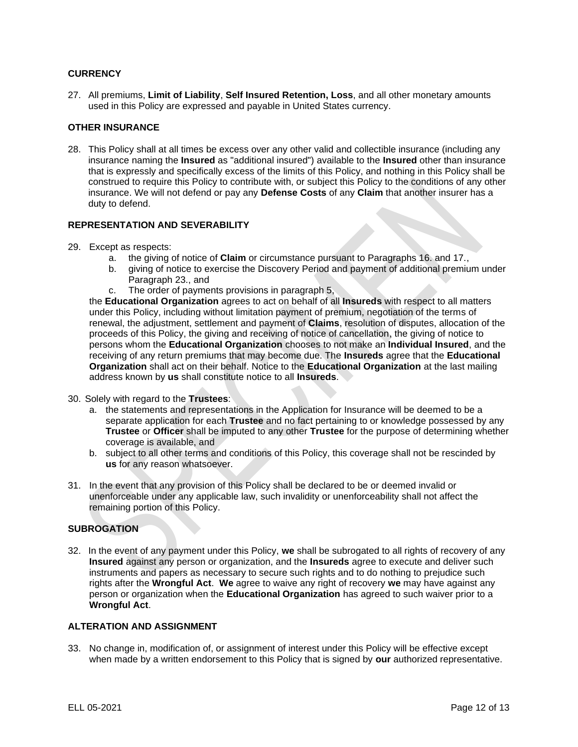# **CURRENCY**

27. All premiums, **Limit of Liability**, **Self Insured Retention, Loss**, and all other monetary amounts used in this Policy are expressed and payable in United States currency.

#### **OTHER INSURANCE**

28. This Policy shall at all times be excess over any other valid and collectible insurance (including any insurance naming the **Insured** as "additional insured") available to the **Insured** other than insurance that is expressly and specifically excess of the limits of this Policy, and nothing in this Policy shall be construed to require this Policy to contribute with, or subject this Policy to the conditions of any other insurance. We will not defend or pay any **Defense Costs** of any **Claim** that another insurer has a duty to defend.

# **REPRESENTATION AND SEVERABILITY**

- 29. Except as respects:
	- a. the giving of notice of **Claim** or circumstance pursuant to Paragraphs 16. and 17.,
	- b. giving of notice to exercise the Discovery Period and payment of additional premium under Paragraph 23., and
	- c. The order of payments provisions in paragraph 5,

the **Educational Organization** agrees to act on behalf of all **Insureds** with respect to all matters under this Policy, including without limitation payment of premium, negotiation of the terms of renewal, the adjustment, settlement and payment of **Claims**, resolution of disputes, allocation of the proceeds of this Policy, the giving and receiving of notice of cancellation, the giving of notice to persons whom the **Educational Organization** chooses to not make an **Individual Insured**, and the receiving of any return premiums that may become due. The **Insureds** agree that the **Educational Organization** shall act on their behalf. Notice to the **Educational Organization** at the last mailing address known by **us** shall constitute notice to all **Insureds**.

- 30. Solely with regard to the **Trustees**:
	- a. the statements and representations in the Application for Insurance will be deemed to be a separate application for each **Trustee** and no fact pertaining to or knowledge possessed by any **Trustee** or **Officer** shall be imputed to any other **Trustee** for the purpose of determining whether coverage is available, and
	- b. subject to all other terms and conditions of this Policy, this coverage shall not be rescinded by **us** for any reason whatsoever.
- 31. In the event that any provision of this Policy shall be declared to be or deemed invalid or unenforceable under any applicable law, such invalidity or unenforceability shall not affect the remaining portion of this Policy.

# **SUBROGATION**

32. In the event of any payment under this Policy, **we** shall be subrogated to all rights of recovery of any **Insured** against any person or organization, and the **Insureds** agree to execute and deliver such instruments and papers as necessary to secure such rights and to do nothing to prejudice such rights after the **Wrongful Act**. **We** agree to waive any right of recovery **we** may have against any person or organization when the **Educational Organization** has agreed to such waiver prior to a **Wrongful Act**.

#### **ALTERATION AND ASSIGNMENT**

33. No change in, modification of, or assignment of interest under this Policy will be effective except when made by a written endorsement to this Policy that is signed by **our** authorized representative.